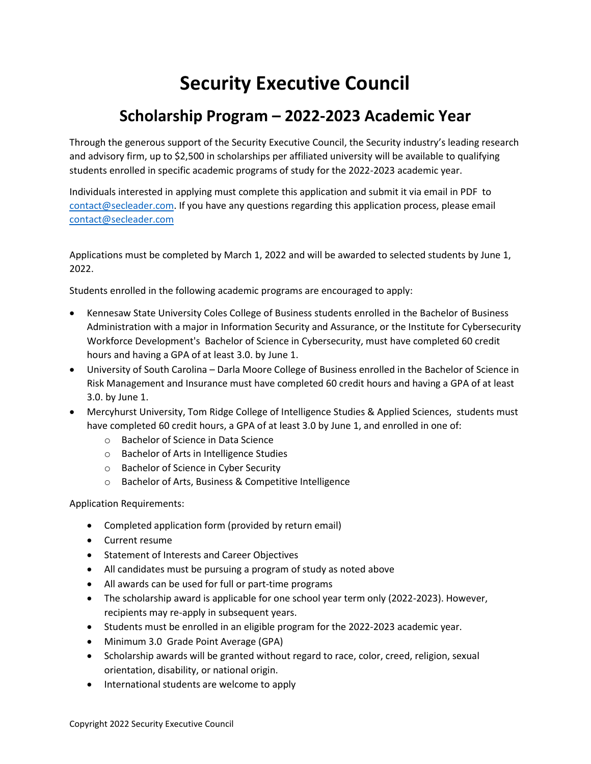## **Security Executive Council**

## **Scholarship Program – 2022-2023 Academic Year**

Through the generous support of the Security Executive Council, the Security industry's leading research and advisory firm, up to \$2,500 in scholarships per affiliated university will be available to qualifying students enrolled in specific academic programs of study for the 2022-2023 academic year.

Individuals interested in applying must complete this application and submit it via email in PDF to [contact@secleader.com.](mailto:contact@secleader.com) If you have any questions regarding this application process, please email [contact@secleader.com](mailto:contact@secleader.com)

Applications must be completed by March 1, 2022 and will be awarded to selected students by June 1, 2022.

Students enrolled in the following academic programs are encouraged to apply:

- Kennesaw State University Coles College of Business students enrolled in the Bachelor of Business Administration with a major in Information Security and Assurance, or the Institute for Cybersecurity Workforce Development's Bachelor of Science in Cybersecurity, must have completed 60 credit hours and having a GPA of at least 3.0. by June 1.
- University of South Carolina Darla Moore College of Business enrolled in the Bachelor of Science in Risk Management and Insurance must have completed 60 credit hours and having a GPA of at least 3.0. by June 1.
- Mercyhurst University, Tom Ridge College of Intelligence Studies & Applied Sciences, students must have completed 60 credit hours, a GPA of at least 3.0 by June 1, and enrolled in one of:
	- o Bachelor of Science in Data Science
	- o Bachelor of Arts in Intelligence Studies
	- o Bachelor of Science in Cyber Security
	- o Bachelor of Arts, Business & Competitive Intelligence

Application Requirements:

- Completed application form (provided by return email)
- Current resume
- Statement of Interests and Career Objectives
- All candidates must be pursuing a program of study as noted above
- All awards can be used for full or part-time programs
- The scholarship award is applicable for one school year term only (2022-2023). However, recipients may re-apply in subsequent years.
- Students must be enrolled in an eligible program for the 2022-2023 academic year.
- Minimum 3.0 Grade Point Average (GPA)
- Scholarship awards will be granted without regard to race, color, creed, religion, sexual orientation, disability, or national origin.
- International students are welcome to apply